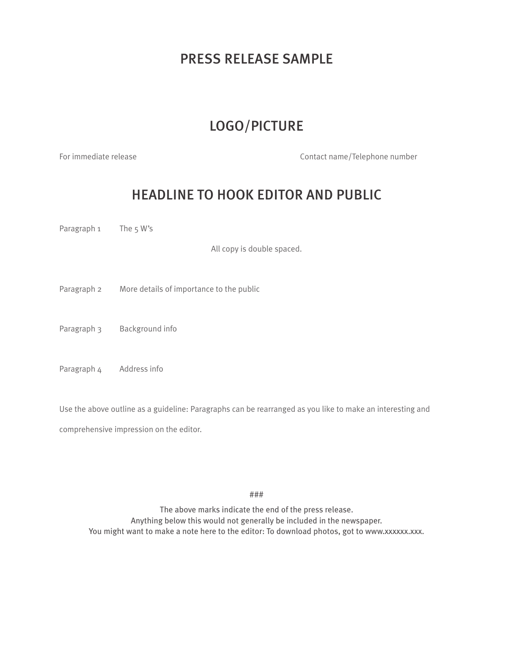# PRESS RELEASE SAMPLE

## LOGO/PICTURE

For immediate release **Contact name/Telephone number** Contact name/Telephone number

### HEADLINE TO HOOK EDITOR AND PUBLIC

Paragraph 1 The 5 W's

All copy is double spaced.

- Paragraph 2 More details of importance to the public
- Paragraph 3 Background info

Paragraph 4 Address info

Use the above outline as a guideline: Paragraphs can be rearranged as you like to make an interesting and comprehensive impression on the editor.

###

The above marks indicate the end of the press release. Anything below this would not generally be included in the newspaper. You might want to make a note here to the editor: To download photos, got to www.xxxxxx.xxx.